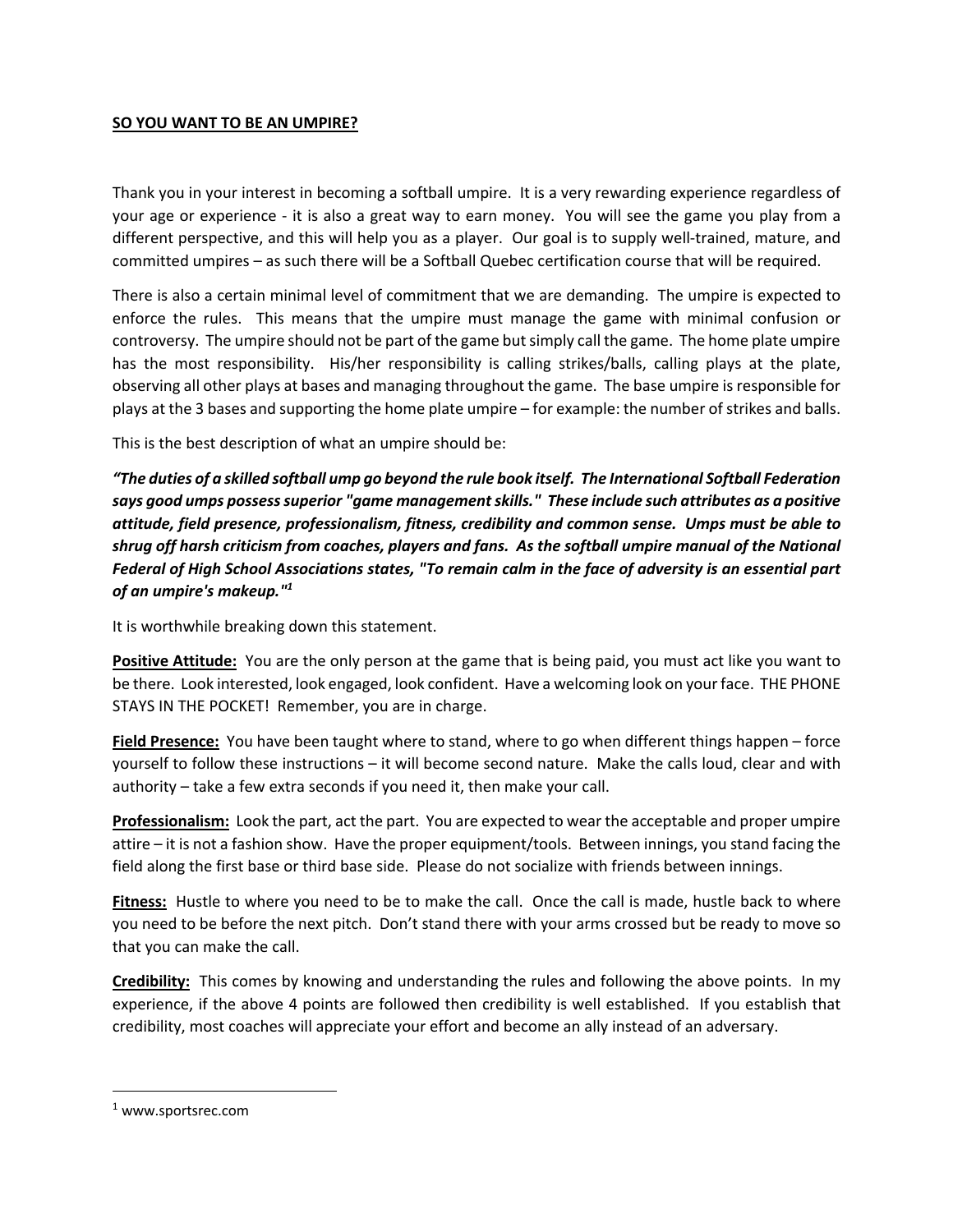## **SO YOU WANT TO BE AN UMPIRE?**

Thank you in your interest in becoming a softball umpire. It is a very rewarding experience regardless of your age or experience - it is also a great way to earn money. You will see the game you play from a different perspective, and this will help you as a player. Our goal is to supply well-trained, mature, and committed umpires – as such there will be a Softball Quebec certification course that will be required.

There is also a certain minimal level of commitment that we are demanding. The umpire is expected to enforce the rules. This means that the umpire must manage the game with minimal confusion or controversy. The umpire should not be part of the game but simply call the game. The home plate umpire has the most responsibility. His/her responsibility is calling strikes/balls, calling plays at the plate, observing all other plays at bases and managing throughout the game. The base umpire is responsible for plays at the 3 bases and supporting the home plate umpire – for example: the number of strikes and balls.

This is the best description of what an umpire should be:

*"The duties of a skilled softball ump go beyond the rule book itself. The International Softball Federation says good umps possess superior "game management skills." These include such attributes as a positive attitude, field presence, professionalism, fitness, credibility and common sense. Umps must be able to shrug off harsh criticism from coaches, players and fans. As the softball umpire manual of the National Federal of High School Associations states, "To remain calm in the face of adversity is an essential part of an umpire's makeup."1*

It is worthwhile breaking down this statement.

**Positive Attitude:** You are the only person at the game that is being paid, you must act like you want to be there. Look interested, look engaged, look confident. Have a welcoming look on your face. THE PHONE STAYS IN THE POCKET! Remember, you are in charge.

**Field Presence:** You have been taught where to stand, where to go when different things happen – force yourself to follow these instructions – it will become second nature. Make the calls loud, clear and with authority – take a few extra seconds if you need it, then make your call.

**Professionalism:** Look the part, act the part. You are expected to wear the acceptable and proper umpire attire – it is not a fashion show. Have the proper equipment/tools. Between innings, you stand facing the field along the first base or third base side. Please do not socialize with friends between innings.

**Fitness:** Hustle to where you need to be to make the call. Once the call is made, hustle back to where you need to be before the next pitch. Don't stand there with your arms crossed but be ready to move so that you can make the call.

**Credibility:** This comes by knowing and understanding the rules and following the above points. In my experience, if the above 4 points are followed then credibility is well established. If you establish that credibility, most coaches will appreciate your effort and become an ally instead of an adversary.

<sup>1</sup> www.sportsrec.com